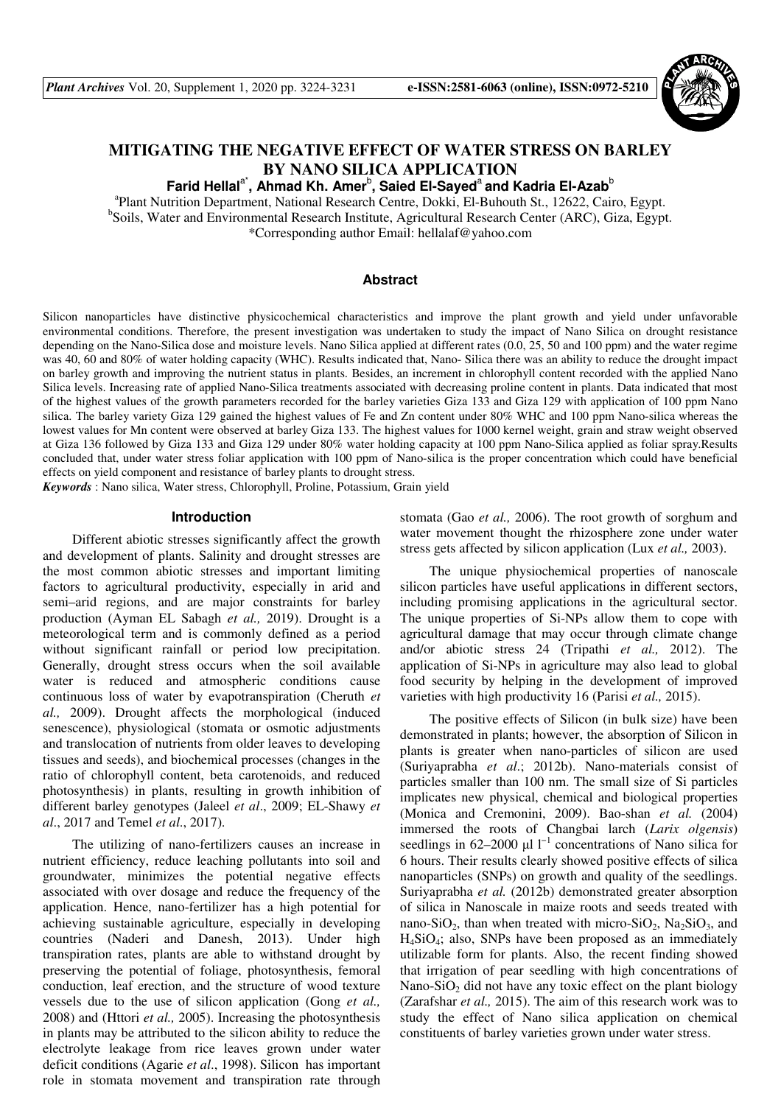

# **MITIGATING THE NEGATIVE EFFECT OF WATER STRESS ON BARLEY BY NANO SILICA APPLICATION**

**Farid Hellal**a\***, Ahmad Kh. Amer**<sup>b</sup> **, Saied El-Sayed**<sup>a</sup>**and Kadria El-Azab**<sup>b</sup>

a Plant Nutrition Department, National Research Centre, Dokki, El-Buhouth St., 12622, Cairo, Egypt. <sup>b</sup>Soils, Water and Environmental Research Institute, Agricultural Research Center (ARC), Giza, Egypt. \*Corresponding author Email: hellalaf@yahoo.com

# **Abstract**

Silicon nanoparticles have distinctive physicochemical characteristics and improve the plant growth and yield under unfavorable environmental conditions. Therefore, the present investigation was undertaken to study the impact of Nano Silica on drought resistance depending on the Nano-Silica dose and moisture levels. Nano Silica applied at different rates (0.0, 25, 50 and 100 ppm) and the water regime was 40, 60 and 80% of water holding capacity (WHC). Results indicated that, Nano- Silica there was an ability to reduce the drought impact on barley growth and improving the nutrient status in plants. Besides, an increment in chlorophyll content recorded with the applied Nano Silica levels. Increasing rate of applied Nano-Silica treatments associated with decreasing proline content in plants. Data indicated that most of the highest values of the growth parameters recorded for the barley varieties Giza 133 and Giza 129 with application of 100 ppm Nano silica. The barley variety Giza 129 gained the highest values of Fe and Zn content under 80% WHC and 100 ppm Nano-silica whereas the lowest values for Mn content were observed at barley Giza 133. The highest values for 1000 kernel weight, grain and straw weight observed at Giza 136 followed by Giza 133 and Giza 129 under 80% water holding capacity at 100 ppm Nano-Silica applied as foliar spray.Results concluded that, under water stress foliar application with 100 ppm of Nano-silica is the proper concentration which could have beneficial effects on yield component and resistance of barley plants to drought stress.

*Keywords* : Nano silica, Water stress, Chlorophyll, Proline, Potassium, Grain yield

#### **Introduction**

Different abiotic stresses significantly affect the growth and development of plants. Salinity and drought stresses are the most common abiotic stresses and important limiting factors to agricultural productivity, especially in arid and semi–arid regions, and are major constraints for barley production (Ayman EL Sabagh *et al.,* 2019). Drought is a meteorological term and is commonly defined as a period without significant rainfall or period low precipitation. Generally, drought stress occurs when the soil available water is reduced and atmospheric conditions cause continuous loss of water by evapotranspiration (Cheruth *et al.,* 2009). Drought affects the morphological (induced senescence), physiological (stomata or osmotic adjustments and translocation of nutrients from older leaves to developing tissues and seeds), and biochemical processes (changes in the ratio of chlorophyll content, beta carotenoids, and reduced photosynthesis) in plants, resulting in growth inhibition of different barley genotypes (Jaleel *et al*., 2009; EL-Shawy *et al*., 2017 and Temel *et al*., 2017).

The utilizing of nano-fertilizers causes an increase in nutrient efficiency, reduce leaching pollutants into soil and groundwater, minimizes the potential negative effects associated with over dosage and reduce the frequency of the application. Hence, nano-fertilizer has a high potential for achieving sustainable agriculture, especially in developing countries (Naderi and Danesh, 2013). Under high transpiration rates, plants are able to withstand drought by preserving the potential of foliage, photosynthesis, femoral conduction, leaf erection, and the structure of wood texture vessels due to the use of silicon application (Gong *et al.,* 2008) and (Httori *et al.,* 2005). Increasing the photosynthesis in plants may be attributed to the silicon ability to reduce the electrolyte leakage from rice leaves grown under water deficit conditions (Agarie *et al*., 1998). Silicon has important role in stomata movement and transpiration rate through stomata (Gao *et al.,* 2006). The root growth of sorghum and water movement thought the rhizosphere zone under water stress gets affected by silicon application (Lux *et al.,* 2003).

The unique physiochemical properties of nanoscale silicon particles have useful applications in different sectors, including promising applications in the agricultural sector. The unique properties of Si-NPs allow them to cope with agricultural damage that may occur through climate change and/or abiotic stress 24 (Tripathi *et al.,* 2012). The application of Si-NPs in agriculture may also lead to global food security by helping in the development of improved varieties with high productivity 16 (Parisi *et al.,* 2015).

The positive effects of Silicon (in bulk size) have been demonstrated in plants; however, the absorption of Silicon in plants is greater when nano-particles of silicon are used (Suriyaprabha *et al*.; 2012b). Nano-materials consist of particles smaller than 100 nm. The small size of Si particles implicates new physical, chemical and biological properties (Monica and Cremonini, 2009). Bao-shan *et al.* (2004) immersed the roots of Changbai larch (*Larix olgensis*) seedlings in 62–2000 µl  $1^{-1}$  concentrations of Nano silica for 6 hours. Their results clearly showed positive effects of silica nanoparticles (SNPs) on growth and quality of the seedlings. Suriyaprabha *et al.* (2012b) demonstrated greater absorption of silica in Nanoscale in maize roots and seeds treated with nano-SiO<sub>2</sub>, than when treated with micro-SiO<sub>2</sub>, Na<sub>2</sub>SiO<sub>3</sub>, and H4SiO4; also, SNPs have been proposed as an immediately utilizable form for plants. Also, the recent finding showed that irrigation of pear seedling with high concentrations of Nano-SiO<sub>2</sub> did not have any toxic effect on the plant biology (Zarafshar *et al.,* 2015). The aim of this research work was to study the effect of Nano silica application on chemical constituents of barley varieties grown under water stress.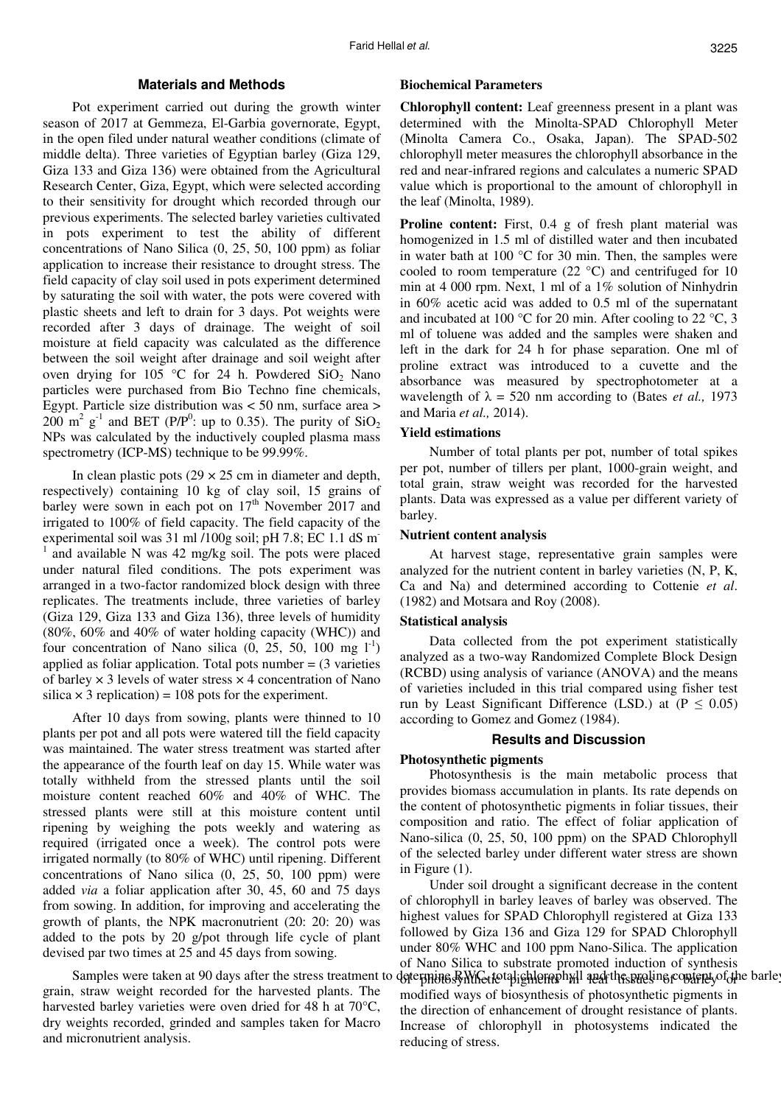## **Materials and Methods**

Pot experiment carried out during the growth winter season of 2017 at Gemmeza, El-Garbia governorate, Egypt, in the open filed under natural weather conditions (climate of middle delta). Three varieties of Egyptian barley (Giza 129, Giza 133 and Giza 136) were obtained from the Agricultural Research Center, Giza, Egypt, which were selected according to their sensitivity for drought which recorded through our previous experiments. The selected barley varieties cultivated in pots experiment to test the ability of different concentrations of Nano Silica (0, 25, 50, 100 ppm) as foliar application to increase their resistance to drought stress. The field capacity of clay soil used in pots experiment determined by saturating the soil with water, the pots were covered with plastic sheets and left to drain for 3 days. Pot weights were recorded after 3 days of drainage. The weight of soil moisture at field capacity was calculated as the difference between the soil weight after drainage and soil weight after oven drying for 105 °C for 24 h. Powdered  $SiO<sub>2</sub>$  Nano particles were purchased from Bio Techno fine chemicals, Egypt. Particle size distribution was < 50 nm, surface area >  $200 \text{ m}^2$  g<sup>-1</sup> and BET (P/P<sup>0</sup>: up to 0.35). The purity of SiO<sub>2</sub> NPs was calculated by the inductively coupled plasma mass spectrometry (ICP-MS) technique to be 99.99%.

In clean plastic pots  $(29 \times 25 \text{ cm})$  in diameter and depth, respectively) containing 10 kg of clay soil, 15 grains of barley were sown in each pot on  $17<sup>th</sup>$  November 2017 and irrigated to 100% of field capacity. The field capacity of the experimental soil was 31 ml /100g soil; pH 7.8; EC 1.1 dS m-1 and available N was 42 mg/kg soil. The pots were placed under natural filed conditions. The pots experiment was arranged in a two-factor randomized block design with three replicates. The treatments include, three varieties of barley (Giza 129, Giza 133 and Giza 136), three levels of humidity (80%, 60% and 40% of water holding capacity (WHC)) and four concentration of Nano silica  $(0, 25, 50, 100 \text{ mg } 1^{-1})$ applied as foliar application. Total pots number  $= (3 \text{ varieties})$ of barley  $\times$  3 levels of water stress  $\times$  4 concentration of Nano silica  $\times$  3 replication) = 108 pots for the experiment.

After 10 days from sowing, plants were thinned to 10 plants per pot and all pots were watered till the field capacity was maintained. The water stress treatment was started after the appearance of the fourth leaf on day 15. While water was totally withheld from the stressed plants until the soil moisture content reached 60% and 40% of WHC. The stressed plants were still at this moisture content until ripening by weighing the pots weekly and watering as required (irrigated once a week). The control pots were irrigated normally (to 80% of WHC) until ripening. Different concentrations of Nano silica (0, 25, 50, 100 ppm) were added *via* a foliar application after 30, 45, 60 and 75 days from sowing. In addition, for improving and accelerating the growth of plants, the NPK macronutrient (20: 20: 20) was added to the pots by 20 g/pot through life cycle of plant devised par two times at 25 and 45 days from sowing.

grain, straw weight recorded for the harvested plants. The harvested barley varieties were oven dried for 48 h at 70<sup>o</sup>C, dry weights recorded, grinded and samples taken for Macro and micronutrient analysis.

### **Biochemical Parameters**

**Chlorophyll content:** Leaf greenness present in a plant was determined with the Minolta-SPAD Chlorophyll Meter (Minolta Camera Co., Osaka, Japan). The SPAD-502 chlorophyll meter measures the chlorophyll absorbance in the red and near-infrared regions and calculates a numeric SPAD value which is proportional to the amount of chlorophyll in the leaf (Minolta, 1989).

**Proline content:** First, 0.4 g of fresh plant material was homogenized in 1.5 ml of distilled water and then incubated in water bath at 100 °C for 30 min. Then, the samples were cooled to room temperature  $(22 \text{ °C})$  and centrifuged for 10 min at 4 000 rpm. Next, 1 ml of a 1% solution of Ninhydrin in 60% acetic acid was added to 0.5 ml of the supernatant and incubated at 100  $^{\circ}$ C for 20 min. After cooling to 22  $^{\circ}$ C, 3 ml of toluene was added and the samples were shaken and left in the dark for 24 h for phase separation. One ml of proline extract was introduced to a cuvette and the absorbance was measured by spectrophotometer at a wavelength of  $\lambda = 520$  nm according to (Bates *et al.*, 1973) and Maria *et al.,* 2014).

### **Yield estimations**

Number of total plants per pot, number of total spikes per pot, number of tillers per plant, 1000-grain weight, and total grain, straw weight was recorded for the harvested plants. Data was expressed as a value per different variety of barley.

#### **Nutrient content analysis**

At harvest stage, representative grain samples were analyzed for the nutrient content in barley varieties (N, P, K, Ca and Na) and determined according to Cottenie *et al*. (1982) and Motsara and Roy (2008).

#### **Statistical analysis**

Data collected from the pot experiment statistically analyzed as a two-way Randomized Complete Block Design (RCBD) using analysis of variance (ANOVA) and the means of varieties included in this trial compared using fisher test run by Least Significant Difference (LSD.) at  $(P \le 0.05)$ according to Gomez and Gomez (1984).

### **Results and Discussion**

#### **Photosynthetic pigments**

Photosynthesis is the main metabolic process that provides biomass accumulation in plants. Its rate depends on the content of photosynthetic pigments in foliar tissues, their composition and ratio. The effect of foliar application of Nano-silica (0, 25, 50, 100 ppm) on the SPAD Chlorophyll of the selected barley under different water stress are shown in Figure (1).

Samples were taken at 90 days after the stress treatment to determine RMGetotal jehlernphyll and the proline content of the barley Under soil drought a significant decrease in the content of chlorophyll in barley leaves of barley was observed. The highest values for SPAD Chlorophyll registered at Giza 133 followed by Giza 136 and Giza 129 for SPAD Chlorophyll under 80% WHC and 100 ppm Nano-Silica. The application of Nano Silica to substrate promoted induction of synthesis modified ways of biosynthesis of photosynthetic pigments in the direction of enhancement of drought resistance of plants. Increase of chlorophyll in photosystems indicated the reducing of stress.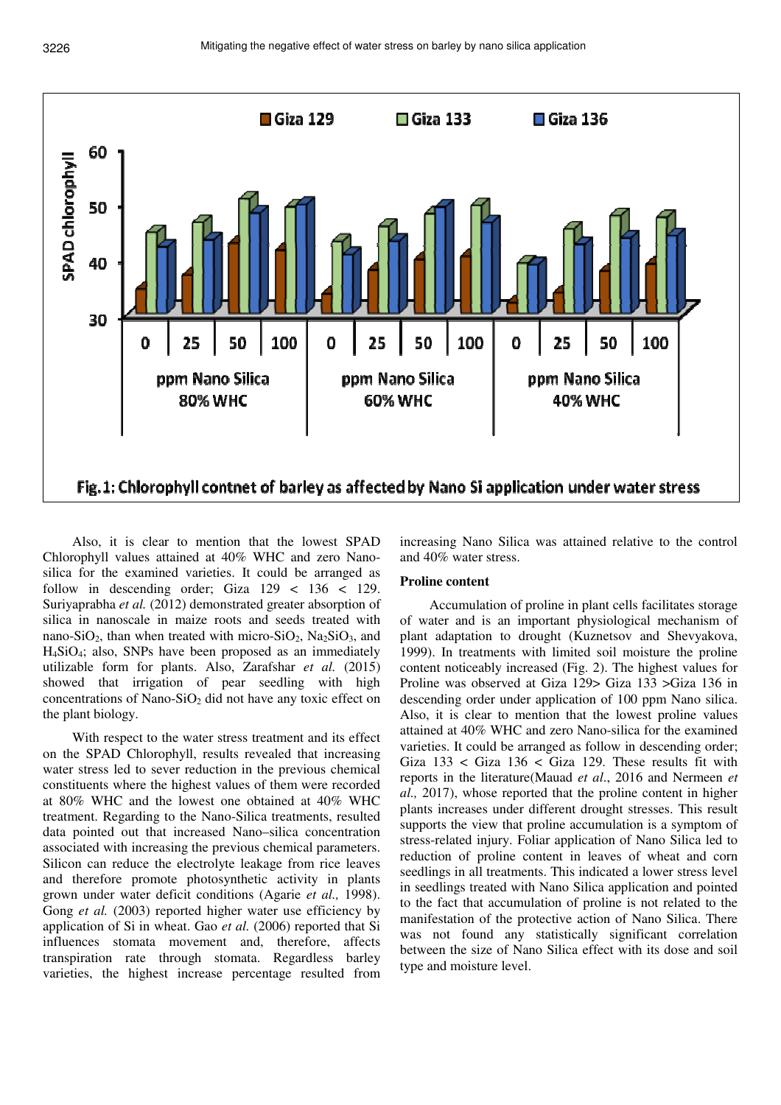

Also, it is clear to mention that the lowest SPAD Chlorophyll values attained at 40% WHC and zero Nanosilica for the examined varieties. It could be arranged as follow in descending order; Giza  $129 < 136 < 129$ . Suriyaprabha *et al.* (2012) demonstrated greater absorption of silica in nanoscale in maize roots and seeds treated with nano-SiO<sub>2</sub>, than when treated with micro-SiO<sub>2</sub>, Na<sub>2</sub>SiO<sub>3</sub>, and H4SiO4; also, SNPs have been proposed as an immediately utilizable form for plants. Also, Zarafshar *et al.* (2015) showed that irrigation of pear seedling with high concentrations of Nano-SiO<sub>2</sub> did not have any toxic effect on the plant biology.

With respect to the water stress treatment and its effect on the SPAD Chlorophyll, results revealed that increasing water stress led to sever reduction in the previous chemical constituents where the highest values of them were recorded at 80% WHC and the lowest one obtained at 40% WHC treatment. Regarding to the Nano-Silica treatments, resulted data pointed out that increased Nano–silica concentration associated with increasing the previous chemical parameters. Silicon can reduce the electrolyte leakage from rice leaves and therefore promote photosynthetic activity in plants grown under water deficit conditions (Agarie *et al.,* 1998). Gong *et al.* (2003) reported higher water use efficiency by application of Si in wheat. Gao *et al.* (2006) reported that Si influences stomata movement and, therefore, affects transpiration rate through stomata. Regardless barley varieties, the highest increase percentage resulted from

increasing Nano Silica was attained relative to the control and 40% water stress.

### **Proline content**

Accumulation of proline in plant cells facilitates storage of water and is an important physiological mechanism of plant adaptation to drought (Kuznetsov and Shevyakova, 1999). In treatments with limited soil moisture the proline content noticeably increased (Fig. 2). The highest values for Proline was observed at Giza 129> Giza 133 >Giza 136 in descending order under application of 100 ppm Nano silica. Also, it is clear to mention that the lowest proline values attained at 40% WHC and zero Nano-silica for the examined varieties. It could be arranged as follow in descending order; Giza  $133 <$  Giza  $136 <$  Giza 129. These results fit with reports in the literature(Mauad *et al*., 2016 and Nermeen *et al.,* 2017), whose reported that the proline content in higher plants increases under different drought stresses. This result supports the view that proline accumulation is a symptom of stress-related injury. Foliar application of Nano Silica led to reduction of proline content in leaves of wheat and corn seedlings in all treatments. This indicated a lower stress level in seedlings treated with Nano Silica application and pointed to the fact that accumulation of proline is not related to the manifestation of the protective action of Nano Silica. There was not found any statistically significant correlation between the size of Nano Silica effect with its dose and soil type and moisture level.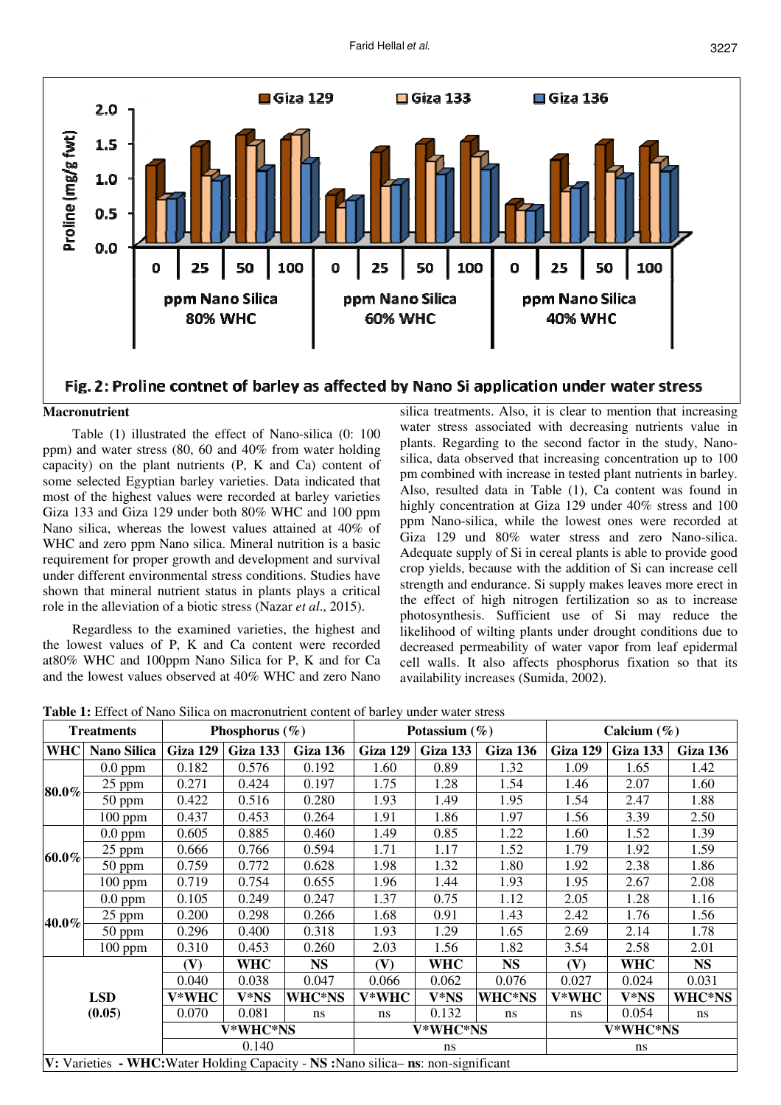

# Fig. 2: Proline contnet of barley as affected by Nano Si application under water stress

### **Macronutrient**

Table (1) illustrated the effect of Nano-silica (0: 100 ppm) and water stress (80, 60 and 40% from water holding capacity) on the plant nutrients (P, K and Ca) content of some selected Egyptian barley varieties. Data indicated that most of the highest values were recorded at barley varieties Giza 133 and Giza 129 under both 80% WHC and 100 ppm Nano silica, whereas the lowest values attained at 40% of WHC and zero ppm Nano silica. Mineral nutrition is a basic requirement for proper growth and development and survival under different environmental stress conditions. Studies have shown that mineral nutrient status in plants plays a critical role in the alleviation of a biotic stress (Nazar *et al*., 2015).

Regardless to the examined varieties, the highest and the lowest values of P, K and Ca content were recorded at80% WHC and 100ppm Nano Silica for P, K and for Ca and the lowest values observed at 40% WHC and zero Nano

silica treatments. Also, it is clear to mention that increasing water stress associated with decreasing nutrients value in plants. Regarding to the second factor in the study, Nanosilica, data observed that increasing concentration up to 100 pm combined with increase in tested plant nutrients in barley. Also, resulted data in Table (1), Ca content was found in highly concentration at Giza 129 under  $40\%$  stress and 100 ppm Nano-silica, while the lowest ones were recorded at Giza 129 und 80% water stress and zero Nano-silica. Adequate supply of Si in cereal plants is able to provide good crop yields, because with the addition of Si can increase cell strength and endurance. Si supply makes leaves more erect in the effect of high nitrogen fertilization so as to increase photosynthesis. Sufficient use of Si may reduce the likelihood of wilting plants under drought conditions due to decreased permeability of water vapor from leaf epidermal cell walls. It also affects phosphorus fixation so that its availability increases (Sumida, 2002).

**Table 1:** Effect of Nano Silica on macronutrient content of barley under water stress

| <b>Treatments</b>    |                                                                                    | Phosphorus $(\% )$ |            |           |          | Potassium $(\% )$ |           | Calcium $(\% )$ |            |           |  |
|----------------------|------------------------------------------------------------------------------------|--------------------|------------|-----------|----------|-------------------|-----------|-----------------|------------|-----------|--|
| <b>WHC</b>           | Nano Silica                                                                        | Giza 129           | Giza 133   | Giza 136  | Giza 129 | <b>Giza 133</b>   | Giza 136  | Giza 129        | Giza 133   | Giza 136  |  |
|                      | $0.0$ ppm                                                                          | 0.182              | 0.576      | 0.192     | 1.60     | 0.89              | 1.32      | 1.09            | 1.65       | 1.42      |  |
|                      | 25 ppm                                                                             | 0.271              | 0.424      | 0.197     | 1.75     | 1.28              | 1.54      | 1.46            | 2.07       | 1.60      |  |
| $80.0\%$             | $50$ ppm                                                                           | 0.422              | 0.516      | 0.280     | 1.93     | 1.49              | 1.95      | 1.54            | 2.47       | 1.88      |  |
|                      | $100$ ppm                                                                          | 0.437              | 0.453      | 0.264     | 1.91     | 1.86              | 1.97      | 1.56            | 3.39       | 2.50      |  |
|                      | $0.0$ ppm                                                                          | 0.605              | 0.885      | 0.460     | 1.49     | 0.85              | 1.22      | 1.60            | 1.52       | 1.39      |  |
| $60.0\%$             | 25 ppm                                                                             | 0.666              | 0.766      | 0.594     | 1.71     | 1.17              | 1.52      | 1.79            | 1.92       | 1.59      |  |
|                      | $50$ ppm                                                                           | 0.759              | 0.772      | 0.628     | 1.98     | 1.32              | 1.80      | 1.92            | 2.38       | 1.86      |  |
|                      | $100$ ppm                                                                          | 0.719              | 0.754      | 0.655     | 1.96     | 1.44              | 1.93      | 1.95            | 2.67       | 2.08      |  |
|                      | $0.0$ ppm                                                                          | 0.105              | 0.249      | 0.247     | 1.37     | 0.75              | 1.12      | 2.05            | 1.28       | 1.16      |  |
| 40.0%                | 25 ppm                                                                             | 0.200              | 0.298      | 0.266     | 1.68     | 0.91              | 1.43      | 2.42            | 1.76       | 1.56      |  |
|                      | $50$ ppm                                                                           | 0.296              | 0.400      | 0.318     | 1.93     | 1.29              | 1.65      | 2.69            | 2.14       | 1.78      |  |
|                      | $100$ ppm                                                                          | 0.310              | 0.453      | 0.260     | 2.03     | 1.56              | 1.82      | 3.54            | 2.58       | 2.01      |  |
|                      |                                                                                    | (V)                | <b>WHC</b> | <b>NS</b> | (V)      | <b>WHC</b>        | <b>NS</b> | (V)             | <b>WHC</b> | <b>NS</b> |  |
| <b>LSD</b><br>(0.05) |                                                                                    | 0.040              | 0.038      | 0.047     | 0.066    | 0.062             | 0.076     | 0.027           | 0.024      | 0.031     |  |
|                      |                                                                                    | V*WHC              | V*NS       | WHC*NS    | V*WHC    | V*NS              | WHC*NS    | V*WHC           | V*NS       | WHC*NS    |  |
|                      |                                                                                    | 0.070              | 0.081      | ns        | ns       | 0.132             | ns        | ns              | 0.054      | ns        |  |
|                      |                                                                                    | V*WHC*NS           |            |           | V*WHC*NS |                   |           | V*WHC*NS        |            |           |  |
|                      |                                                                                    |                    | 0.140      |           | ns       |                   |           | ns              |            |           |  |
|                      | V: Varieties - WHC: Water Holding Capacity - NS : Nano silica- ns: non-significant |                    |            |           |          |                   |           |                 |            |           |  |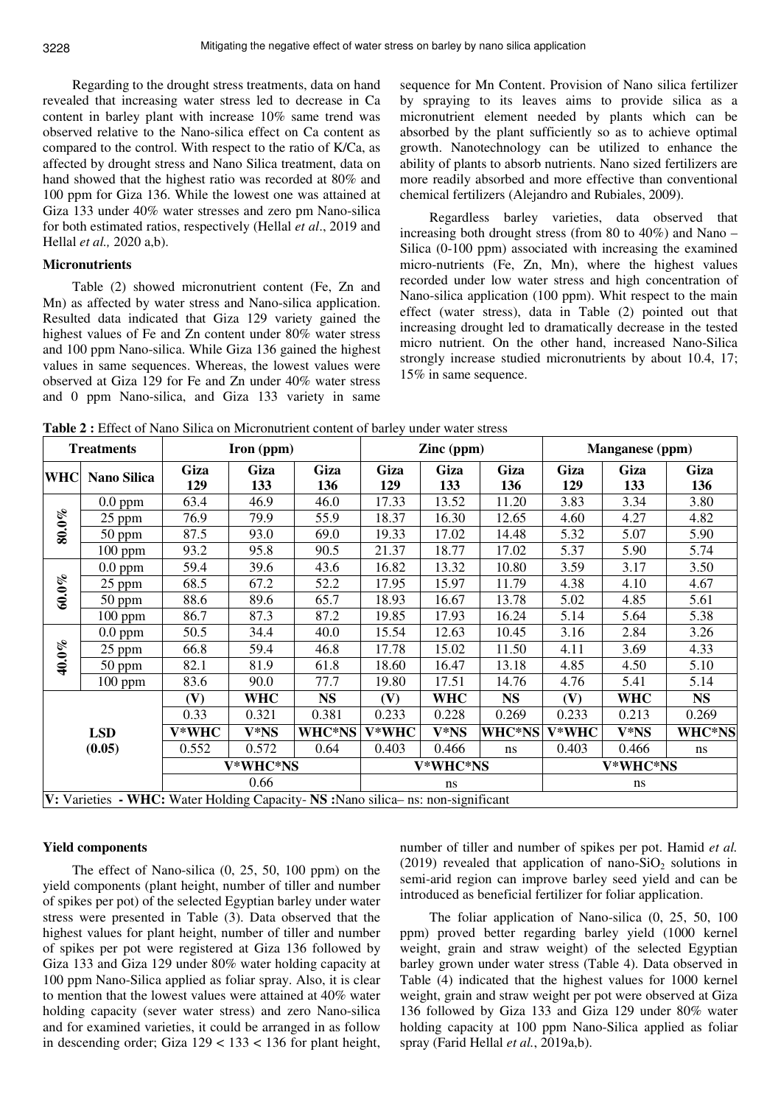Regarding to the drought stress treatments, data on hand revealed that increasing water stress led to decrease in Ca content in barley plant with increase 10% same trend was observed relative to the Nano-silica effect on Ca content as compared to the control. With respect to the ratio of K/Ca, as affected by drought stress and Nano Silica treatment, data on hand showed that the highest ratio was recorded at 80% and 100 ppm for Giza 136. While the lowest one was attained at Giza 133 under 40% water stresses and zero pm Nano-silica for both estimated ratios, respectively (Hellal *et al*., 2019 and Hellal *et al.,* 2020 a,b).

### **Micronutrients**

Table (2) showed micronutrient content (Fe, Zn and Mn) as affected by water stress and Nano-silica application. Resulted data indicated that Giza 129 variety gained the highest values of Fe and Zn content under 80% water stress and 100 ppm Nano-silica. While Giza 136 gained the highest values in same sequences. Whereas, the lowest values were observed at Giza 129 for Fe and Zn under 40% water stress and 0 ppm Nano-silica, and Giza 133 variety in same

sequence for Mn Content. Provision of Nano silica fertilizer by spraying to its leaves aims to provide silica as a micronutrient element needed by plants which can be absorbed by the plant sufficiently so as to achieve optimal growth. Nanotechnology can be utilized to enhance the ability of plants to absorb nutrients. Nano sized fertilizers are more readily absorbed and more effective than conventional chemical fertilizers (Alejandro and Rubiales, 2009).

Regardless barley varieties, data observed that increasing both drought stress (from 80 to 40%) and Nano – Silica (0-100 ppm) associated with increasing the examined micro-nutrients (Fe, Zn, Mn), where the highest values recorded under low water stress and high concentration of Nano-silica application (100 ppm). Whit respect to the main effect (water stress), data in Table (2) pointed out that increasing drought led to dramatically decrease in the tested micro nutrient. On the other hand, increased Nano-Silica strongly increase studied micronutrients by about 10.4, 17; 15% in same sequence.

**Table 2 :** Effect of Nano Silica on Micronutrient content of barley under water stress

| <b>Treatments</b> |                                                                                   |             | Iron (ppm)  |             |             | Zinc (ppm)  |             | Manganese (ppm) |             |             |
|-------------------|-----------------------------------------------------------------------------------|-------------|-------------|-------------|-------------|-------------|-------------|-----------------|-------------|-------------|
| <b>WHC</b>        | <b>Nano Silica</b>                                                                | Giza<br>129 | Giza<br>133 | Giza<br>136 | Giza<br>129 | Giza<br>133 | Giza<br>136 | Giza<br>129     | Giza<br>133 | Giza<br>136 |
| $80.0\%$          | $0.0$ ppm                                                                         | 63.4        | 46.9        | 46.0        | 17.33       | 13.52       | 11.20       | 3.83            | 3.34        | 3.80        |
|                   | $25$ ppm                                                                          | 76.9        | 79.9        | 55.9        | 18.37       | 16.30       | 12.65       | 4.60            | 4.27        | 4.82        |
|                   | $50$ ppm                                                                          | 87.5        | 93.0        | 69.0        | 19.33       | 17.02       | 14.48       | 5.32            | 5.07        | 5.90        |
|                   | $100$ ppm                                                                         | 93.2        | 95.8        | 90.5        | 21.37       | 18.77       | 17.02       | 5.37            | 5.90        | 5.74        |
| $60.0\%$          | $0.0$ ppm                                                                         | 59.4        | 39.6        | 43.6        | 16.82       | 13.32       | 10.80       | 3.59            | 3.17        | 3.50        |
|                   | 25 ppm                                                                            | 68.5        | 67.2        | 52.2        | 17.95       | 15.97       | 11.79       | 4.38            | 4.10        | 4.67        |
|                   | $50$ ppm                                                                          | 88.6        | 89.6        | 65.7        | 18.93       | 16.67       | 13.78       | 5.02            | 4.85        | 5.61        |
|                   | $100$ ppm                                                                         | 86.7        | 87.3        | 87.2        | 19.85       | 17.93       | 16.24       | 5.14            | 5.64        | 5.38        |
|                   | $0.0$ ppm                                                                         | 50.5        | 34.4        | 40.0        | 15.54       | 12.63       | 10.45       | 3.16            | 2.84        | 3.26        |
|                   | 25 ppm                                                                            | 66.8        | 59.4        | 46.8        | 17.78       | 15.02       | 11.50       | 4.11            | 3.69        | 4.33        |
| 40.0%             | 50 ppm                                                                            | 82.1        | 81.9        | 61.8        | 18.60       | 16.47       | 13.18       | 4.85            | 4.50        | 5.10        |
|                   | $100$ ppm                                                                         | 83.6        | 90.0        | 77.7        | 19.80       | 17.51       | 14.76       | 4.76            | 5.41        | 5.14        |
|                   |                                                                                   | (V)         | <b>WHC</b>  | <b>NS</b>   | (V)         | <b>WHC</b>  | <b>NS</b>   | (V)             | <b>WHC</b>  | <b>NS</b>   |
|                   |                                                                                   | 0.33        | 0.321       | 0.381       | 0.233       | 0.228       | 0.269       | 0.233           | 0.213       | 0.269       |
| <b>LSD</b>        |                                                                                   | V*WHC       | V*NS        | WHC*NS      | V*WHC       | V*NS        | WHC*NS      | V*WHC           | V*NS        | WHC*NS      |
| (0.05)            |                                                                                   | 0.552       | 0.572       | 0.64        | 0.403       | 0.466       | ns          | 0.403           | 0.466       | ns          |
|                   |                                                                                   |             | V*WHC*NS    |             | V*WHC*NS    |             |             | V*WHC*NS        |             |             |
|                   |                                                                                   | 0.66        |             |             | ns          |             |             | ns              |             |             |
|                   | V: Varieties - WHC: Water Holding Capacity- NS : Nano silica- ns: non-significant |             |             |             |             |             |             |                 |             |             |

#### **Yield components**

The effect of Nano-silica (0, 25, 50, 100 ppm) on the yield components (plant height, number of tiller and number of spikes per pot) of the selected Egyptian barley under water stress were presented in Table (3). Data observed that the highest values for plant height, number of tiller and number of spikes per pot were registered at Giza 136 followed by Giza 133 and Giza 129 under 80% water holding capacity at 100 ppm Nano-Silica applied as foliar spray. Also, it is clear to mention that the lowest values were attained at 40% water holding capacity (sever water stress) and zero Nano-silica and for examined varieties, it could be arranged in as follow in descending order; Giza  $129 < 133 < 136$  for plant height,

number of tiller and number of spikes per pot. Hamid *et al.*  (2019) revealed that application of nano-SiO<sub>2</sub> solutions in semi-arid region can improve barley seed yield and can be introduced as beneficial fertilizer for foliar application.

The foliar application of Nano-silica (0, 25, 50, 100 ppm) proved better regarding barley yield (1000 kernel weight, grain and straw weight) of the selected Egyptian barley grown under water stress (Table 4). Data observed in Table (4) indicated that the highest values for 1000 kernel weight, grain and straw weight per pot were observed at Giza 136 followed by Giza 133 and Giza 129 under 80% water holding capacity at 100 ppm Nano-Silica applied as foliar spray (Farid Hellal *et al.*, 2019a,b).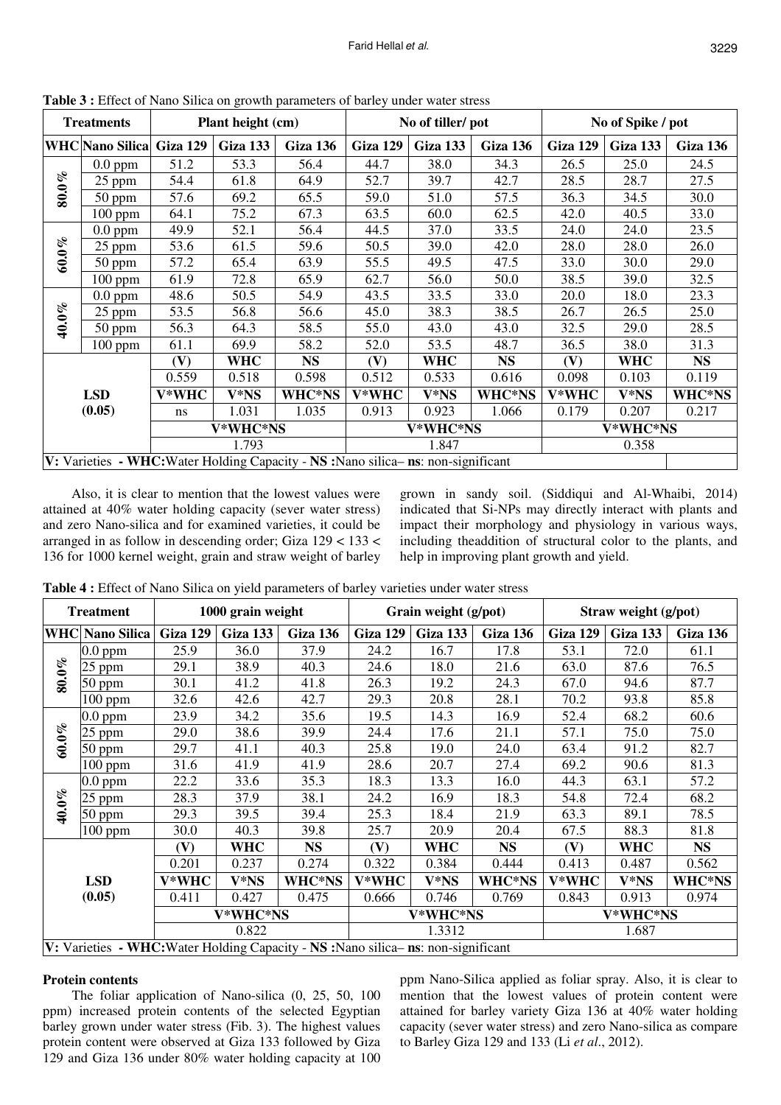| <b>Treatments</b>                                                                  |                          |       | Plant height (cm) | <b>Radio C.</b> Effect of Fund Strict on Growth putuncters of burley under water stress |          | No of tiller/pot |           | No of Spike / pot |          |           |
|------------------------------------------------------------------------------------|--------------------------|-------|-------------------|-----------------------------------------------------------------------------------------|----------|------------------|-----------|-------------------|----------|-----------|
|                                                                                    | WHC Nano Silica Giza 129 |       | Giza 133          | Giza 136                                                                                | Giza 129 | Giza 133         | Giza 136  | Giza 129          | Giza 133 | Giza 136  |
| $80.0\%$                                                                           | $0.0$ ppm                | 51.2  | 53.3              | 56.4                                                                                    | 44.7     | 38.0             | 34.3      | 26.5              | 25.0     | 24.5      |
|                                                                                    | 25 ppm                   | 54.4  | 61.8              | 64.9                                                                                    | 52.7     | 39.7             | 42.7      | 28.5              | 28.7     | 27.5      |
|                                                                                    | $50$ ppm                 | 57.6  | 69.2              | 65.5                                                                                    | 59.0     | 51.0             | 57.5      | 36.3              | 34.5     | 30.0      |
|                                                                                    | $100$ ppm                | 64.1  | 75.2              | 67.3                                                                                    | 63.5     | 60.0             | 62.5      | 42.0              | 40.5     | 33.0      |
| $60.0\%$                                                                           | $0.0$ ppm                | 49.9  | 52.1              | 56.4                                                                                    | 44.5     | 37.0             | 33.5      | 24.0              | 24.0     | 23.5      |
|                                                                                    | 25 ppm                   | 53.6  | 61.5              | 59.6                                                                                    | 50.5     | 39.0             | 42.0      | 28.0              | 28.0     | 26.0      |
|                                                                                    | $50$ ppm                 | 57.2  | 65.4              | 63.9                                                                                    | 55.5     | 49.5             | 47.5      | 33.0              | 30.0     | 29.0      |
|                                                                                    | $100$ ppm                | 61.9  | 72.8              | 65.9                                                                                    | 62.7     | 56.0             | 50.0      | 38.5              | 39.0     | 32.5      |
| 40.0%                                                                              | $0.0$ ppm                | 48.6  | 50.5              | 54.9                                                                                    | 43.5     | 33.5             | 33.0      | 20.0              | 18.0     | 23.3      |
|                                                                                    | $25$ ppm                 | 53.5  | 56.8              | 56.6                                                                                    | 45.0     | 38.3             | 38.5      | 26.7              | 26.5     | 25.0      |
|                                                                                    | $50$ ppm                 | 56.3  | 64.3              | 58.5                                                                                    | 55.0     | 43.0             | 43.0      | 32.5              | 29.0     | 28.5      |
|                                                                                    | $100$ ppm                | 61.1  | 69.9              | 58.2                                                                                    | 52.0     | 53.5             | 48.7      | 36.5              | 38.0     | 31.3      |
|                                                                                    |                          | (V)   | <b>WHC</b>        | <b>NS</b>                                                                               | (V)      | <b>WHC</b>       | <b>NS</b> | (V)               | WHC      | <b>NS</b> |
| <b>LSD</b><br>(0.05)                                                               |                          | 0.559 | 0.518             | 0.598                                                                                   | 0.512    | 0.533            | 0.616     | 0.098             | 0.103    | 0.119     |
|                                                                                    |                          | V*WHC | V*NS              | WHC*NS                                                                                  | V*WHC    | V*NS             | WHC*NS    | V*WHC             | V*NS     | WHC*NS    |
|                                                                                    |                          | ns    | 1.031             | 1.035                                                                                   | 0.913    | 0.923            | 1.066     | 0.179             | 0.207    | 0.217     |
|                                                                                    |                          |       | V*WHC*NS          |                                                                                         | V*WHC*NS |                  |           | V*WHC*NS          |          |           |
|                                                                                    |                          |       | 1.793             |                                                                                         | 1.847    |                  |           |                   |          |           |
| V: Varieties - WHC: Water Holding Capacity - NS : Nano silica- ns: non-significant |                          |       |                   |                                                                                         |          |                  |           |                   |          |           |

**Table 3 :** Effect of Nano Silica on growth parameters of barley under water stress

Also, it is clear to mention that the lowest values were attained at 40% water holding capacity (sever water stress) and zero Nano-silica and for examined varieties, it could be arranged in as follow in descending order; Giza 129 < 133 < 136 for 1000 kernel weight, grain and straw weight of barley

grown in sandy soil. (Siddiqui and Al-Whaibi, 2014) indicated that Si-NPs may directly interact with plants and impact their morphology and physiology in various ways, including theaddition of structural color to the plants, and help in improving plant growth and yield.

| <b>Treatment</b>     |                                                                                    |          | 1000 grain weight |           |          | Grain weight (g/pot) |           | Straw weight (g/pot) |            |           |
|----------------------|------------------------------------------------------------------------------------|----------|-------------------|-----------|----------|----------------------|-----------|----------------------|------------|-----------|
|                      | <b>WHC Nano Silica</b>                                                             | Giza 129 | Giza 133          | Giza 136  | Giza 129 | Giza 133             | Giza 136  | <b>Giza 129</b>      | Giza 133   | Giza 136  |
| $80.0\%$             | $0.0$ ppm                                                                          | 25.9     | 36.0              | 37.9      | 24.2     | 16.7                 | 17.8      | 53.1                 | 72.0       | 61.1      |
|                      | $25$ ppm                                                                           | 29.1     | 38.9              | 40.3      | 24.6     | 18.0                 | 21.6      | 63.0                 | 87.6       | 76.5      |
|                      | 50 ppm                                                                             | 30.1     | 41.2              | 41.8      | 26.3     | 19.2                 | 24.3      | 67.0                 | 94.6       | 87.7      |
|                      | $100$ ppm                                                                          | 32.6     | 42.6              | 42.7      | 29.3     | 20.8                 | 28.1      | 70.2                 | 93.8       | 85.8      |
|                      | $0.0$ ppm                                                                          | 23.9     | 34.2              | 35.6      | 19.5     | 14.3                 | 16.9      | 52.4                 | 68.2       | 60.6      |
|                      | $25$ ppm                                                                           | 29.0     | 38.6              | 39.9      | 24.4     | 17.6                 | 21.1      | 57.1                 | 75.0       | 75.0      |
| $60.0\%$             | 50 ppm                                                                             | 29.7     | 41.1              | 40.3      | 25.8     | 19.0                 | 24.0      | 63.4                 | 91.2       | 82.7      |
|                      | $100$ ppm                                                                          | 31.6     | 41.9              | 41.9      | 28.6     | 20.7                 | 27.4      | 69.2                 | 90.6       | 81.3      |
| 40.0%                | $0.0$ ppm                                                                          | 22.2     | 33.6              | 35.3      | 18.3     | 13.3                 | 16.0      | 44.3                 | 63.1       | 57.2      |
|                      | $25$ ppm                                                                           | 28.3     | 37.9              | 38.1      | 24.2     | 16.9                 | 18.3      | 54.8                 | 72.4       | 68.2      |
|                      | $50$ ppm                                                                           | 29.3     | 39.5              | 39.4      | 25.3     | 18.4                 | 21.9      | 63.3                 | 89.1       | 78.5      |
|                      | $100$ ppm                                                                          | 30.0     | 40.3              | 39.8      | 25.7     | 20.9                 | 20.4      | 67.5                 | 88.3       | 81.8      |
|                      |                                                                                    | (V)      | <b>WHC</b>        | <b>NS</b> | (V)      | <b>WHC</b>           | <b>NS</b> | (V)                  | <b>WHC</b> | <b>NS</b> |
|                      |                                                                                    | 0.201    | 0.237             | 0.274     | 0.322    | 0.384                | 0.444     | 0.413                | 0.487      | 0.562     |
| <b>LSD</b><br>(0.05) |                                                                                    | V*WHC    | V*NS              | WHC*NS    | V*WHC    | V*NS                 | WHC*NS    | V*WHC                | V*NS       | WHC*NS    |
|                      |                                                                                    | 0.411    | 0.427             | 0.475     | 0.666    | 0.746                | 0.769     | 0.843                | 0.913      | 0.974     |
|                      |                                                                                    | V*WHC*NS |                   |           | V*WHC*NS |                      |           | V*WHC*NS             |            |           |
|                      |                                                                                    | 0.822    |                   |           | 1.3312   |                      |           | 1.687                |            |           |
|                      | V: Varieties - WHC: Water Holding Capacity - NS : Nano silica- ns: non-significant |          |                   |           |          |                      |           |                      |            |           |

**Table 4 :** Effect of Nano Silica on yield parameters of barley varieties under water stress

# **Protein contents**

The foliar application of Nano-silica (0, 25, 50, 100 ppm) increased protein contents of the selected Egyptian barley grown under water stress (Fib. 3). The highest values protein content were observed at Giza 133 followed by Giza 129 and Giza 136 under 80% water holding capacity at 100

ppm Nano-Silica applied as foliar spray. Also, it is clear to mention that the lowest values of protein content were attained for barley variety Giza 136 at 40% water holding capacity (sever water stress) and zero Nano-silica as compare to Barley Giza 129 and 133 (Li *et al*., 2012).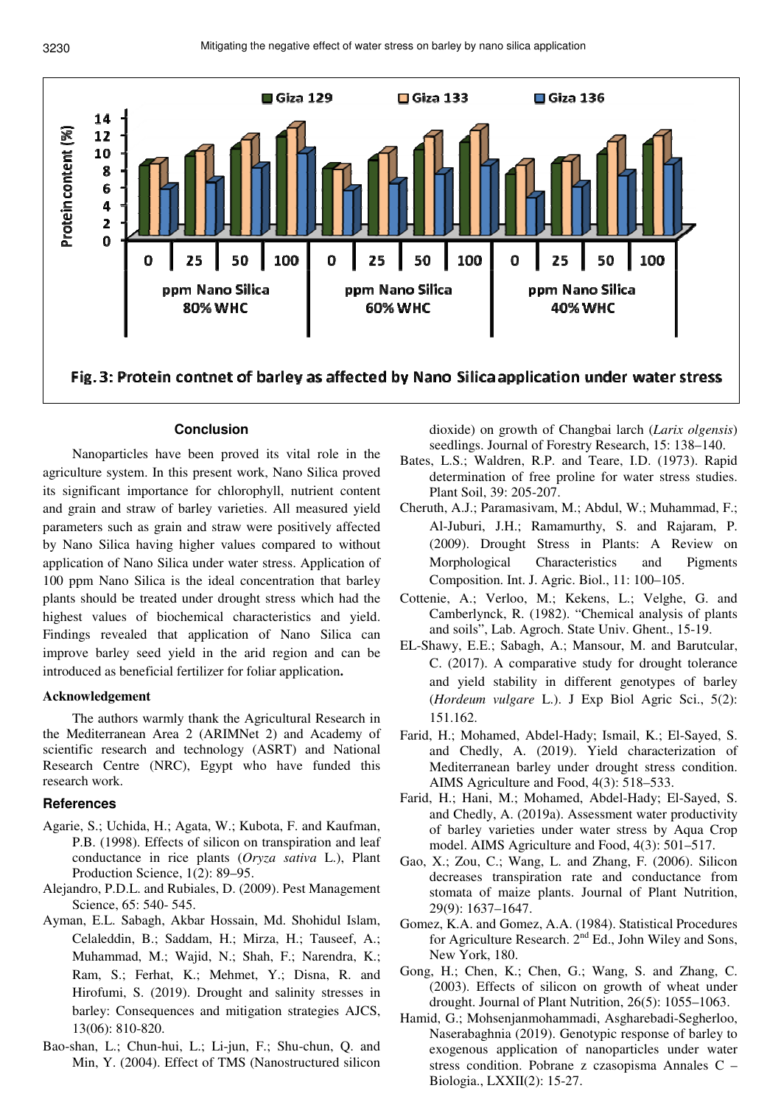

# **Conclusion**

Nanoparticles have been proved its vital role in the agriculture system. In this present work, Nano Silica proved its significant importance for chlorophyll, nutrient content and grain and straw of barley varieties. All measured yield parameters such as grain and straw were positively affected by Nano Silica having higher values compared to without application of Nano Silica under water stress. Application of 100 ppm Nano Silica is the ideal concentration that barley plants should be treated under drought stress which had the highest values of biochemical characteristics and yield. Findings revealed that application of Nano Silica can improve barley seed yield in the arid region and can be introduced as beneficial fertilizer for foliar application**.** 

# **Acknowledgement**

The authors warmly thank the Agricultural Research in the Mediterranean Area 2 (ARIMNet 2) and Academy of scientific research and technology (ASRT) and National Research Centre (NRC), Egypt who have funded this research work.

# **References**

- Agarie, S.; Uchida, H.; Agata, W.; Kubota, F. and Kaufman, P.B. (1998). Effects of silicon on transpiration and leaf conductance in rice plants (*Oryza sativa* L.), Plant Production Science, 1(2): 89–95.
- Alejandro, P.D.L. and Rubiales, D. (2009). Pest Management Science, 65: 540- 545.
- Ayman, E.L. Sabagh, Akbar Hossain, Md. Shohidul Islam, Celaleddin, B.; Saddam, H.; Mirza, H.; Tauseef, A.; Muhammad, M.; Wajid, N.; Shah, F.; Narendra, K.; Ram, S.; Ferhat, K.; Mehmet, Y.; Disna, R. and Hirofumi, S. (2019). Drought and salinity stresses in barley: Consequences and mitigation strategies AJCS, 13(06): 810-820.
- Bao-shan, L.; Chun-hui, L.; Li-jun, F.; Shu-chun, Q. and Min, Y. (2004). Effect of TMS (Nanostructured silicon

dioxide) on growth of Changbai larch (*Larix olgensis*) seedlings. Journal of Forestry Research, 15: 138–140.

- Bates, L.S.; Waldren, R.P. and Teare, I.D. (1973). Rapid determination of free proline for water stress studies. Plant Soil, 39: 205-207.
- Cheruth, A.J.; Paramasivam, M.; Abdul, W.; Muhammad, F.; Al-Juburi, J.H.; Ramamurthy, S. and Rajaram, P. (2009). Drought Stress in Plants: A Review on Morphological Characteristics and Pigments Composition. Int. J. Agric. Biol., 11: 100–105.
- Cottenie, A.; Verloo, M.; Kekens, L.; Velghe, G. and Camberlynck, R. (1982). "Chemical analysis of plants and soils", Lab. Agroch. State Univ. Ghent., 15-19.
- EL-Shawy, E.E.; Sabagh, A.; Mansour, M. and Barutcular, C. (2017). A comparative study for drought tolerance and yield stability in different genotypes of barley (*Hordeum vulgare* L.). J Exp Biol Agric Sci., 5(2): 151.162.
- Farid, H.; Mohamed, Abdel-Hady; Ismail, K.; El-Sayed, S. and Chedly, A. (2019). Yield characterization of Mediterranean barley under drought stress condition. AIMS Agriculture and Food, 4(3): 518–533.
- Farid, H.; Hani, M.; Mohamed, Abdel-Hady; El-Sayed, S. and Chedly, A. (2019a). Assessment water productivity of barley varieties under water stress by Aqua Crop model. AIMS Agriculture and Food, 4(3): 501–517.
- Gao, X.; Zou, C.; Wang, L. and Zhang, F. (2006). Silicon decreases transpiration rate and conductance from stomata of maize plants. Journal of Plant Nutrition, 29(9): 1637–1647.
- Gomez, K.A. and Gomez, A.A. (1984). Statistical Procedures for Agriculture Research.  $2<sup>nd</sup>$  Ed., John Wiley and Sons, New York, 180.
- Gong, H.; Chen, K.; Chen, G.; Wang, S. and Zhang, C. (2003). Effects of silicon on growth of wheat under drought. Journal of Plant Nutrition, 26(5): 1055–1063.
- Hamid, G.; Mohsenjanmohammadi, Asgharebadi-Segherloo, Naserabaghnia (2019). Genotypic response of barley to exogenous application of nanoparticles under water stress condition. Pobrane z czasopisma Annales C – Biologia., LXXII(2): 15-27.